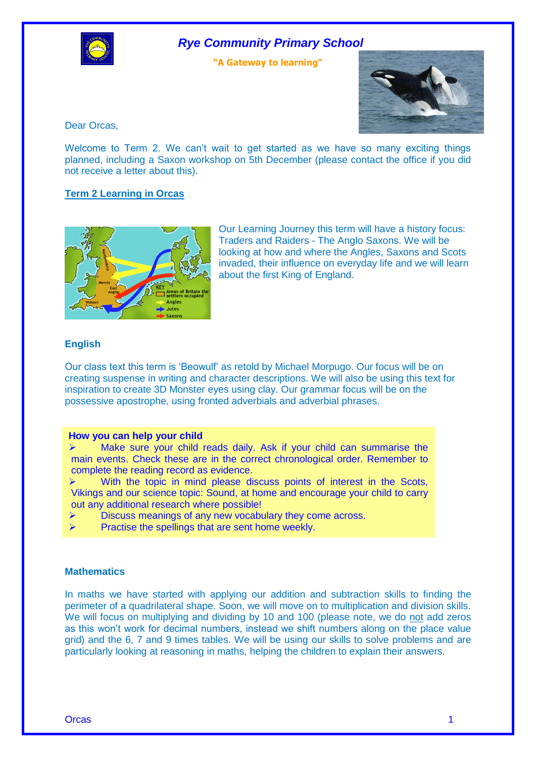

# *Rye Community Primary School*

**"A Gateway to learning"**



Dear Orcas,

Welcome to Term 2. We can't wait to get started as we have so many exciting things planned, including a Saxon workshop on 5th December (please contact the office if you did not receive a letter about this).

### **Term 2 Learning in Orcas**



Our Learning Journey this term will have a history focus: Traders and Raiders - The Anglo Saxons. We will be looking at how and where the Angles, Saxons and Scots invaded, their influence on everyday life and we will learn about the first King of England.

#### **English**

Our class text this term is 'Beowulf' as retold by Michael Morpugo. Our focus will be on creating suspense in writing and character descriptions. We will also be using this text for inspiration to create 3D Monster eyes using clay. Our grammar focus will be on the possessive apostrophe, using fronted adverbials and adverbial phrases.

#### **How you can help your child**

 $\triangleright$  Make sure your child reads daily. Ask if your child can summarise the main events. Check these are in the correct chronological order. Remember to complete the reading record as evidence.

 $\triangleright$  With the topic in mind please discuss points of interest in the Scots, Vikings and our science topic: Sound, at home and encourage your child to carry out any additional research where possible!

- Discuss meanings of any new vocabulary they come across.
- Practise the spellings that are sent home weekly.

## **Mathematics**

In maths we have started with applying our addition and subtraction skills to finding the perimeter of a quadrilateral shape. Soon, we will move on to multiplication and division skills. We will focus on multiplying and dividing by 10 and 100 (please note, we do not add zeros as this won't work for decimal numbers, instead we shift numbers along on the place value grid) and the 6, 7 and 9 times tables. We will be using our skills to solve problems and are particularly looking at reasoning in maths, helping the children to explain their answers.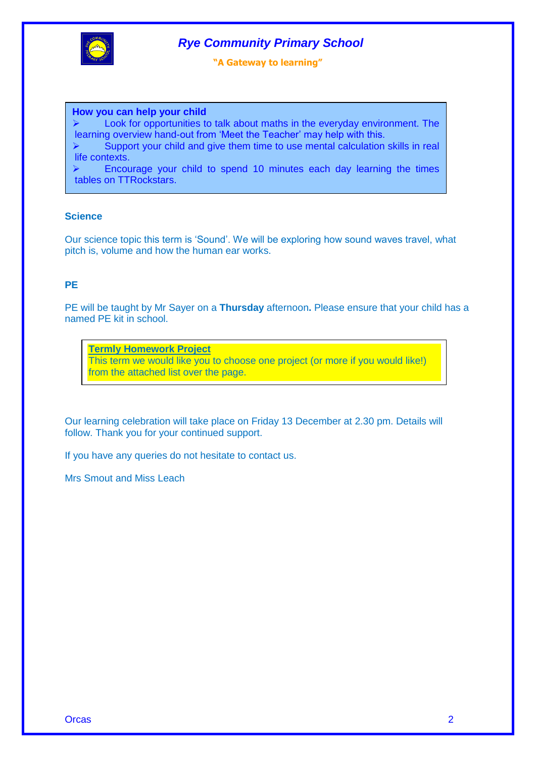

# *Rye Community Primary School*

**"A Gateway to learning"**

#### **How you can help your child**

 $\triangleright$  Look for opportunities to talk about maths in the everyday environment. The learning overview hand-out from 'Meet the Teacher' may help with this.

 $\triangleright$  Support your child and give them time to use mental calculation skills in real life contexts.

 $\triangleright$  Encourage your child to spend 10 minutes each day learning the times tables on TTRockstars.

#### **Science**

Our science topic this term is 'Sound'. We will be exploring how sound waves travel, what pitch is, volume and how the human ear works.

## **PE**

PE will be taught by Mr Sayer on a **Thursday** afternoon**.** Please ensure that your child has a named PE kit in school.

**Termly Homework Project** This term we would like you to choose one project (or more if you would like!) from the attached list over the page.

Our learning celebration will take place on Friday 13 December at 2.30 pm. Details will follow. Thank you for your continued support.

If you have any queries do not hesitate to contact us.

Mrs Smout and Miss Leach